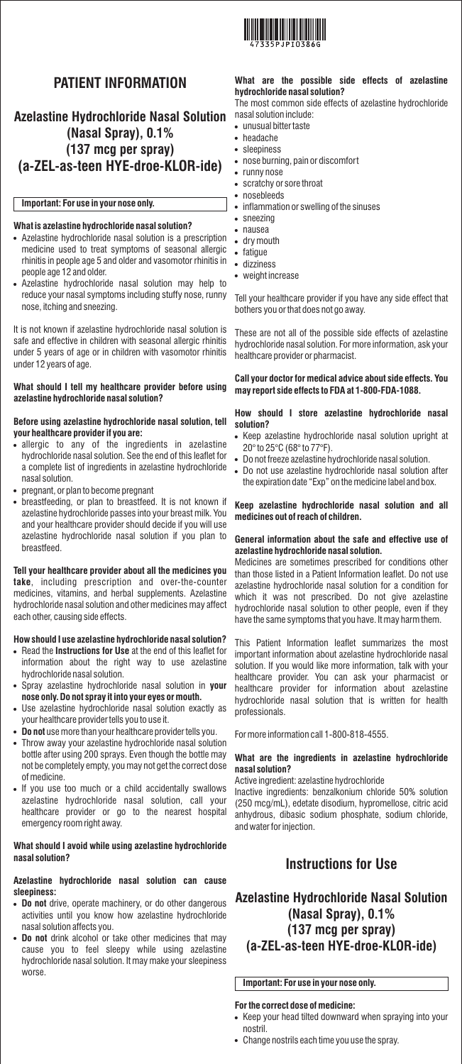

# **PATIENT INFORMATION**

## **Azelastine Hydrochloride Nasal Solution (Nasal Spray), 0.1% (137 mcg per spray) (a-ZEL-as-teen HYE-droe-KLOR-ide)**

### **Important: For use in your nose only.**

### **What is azelastine hydrochloride nasal solution?**

- Azelastine hydrochloride nasal solution is a prescription medicine used to treat symptoms of seasonal allergic rhinitis in people age 5 and older and vasomotor rhinitis in people age 12 and older.
- Azelastine hydrochloride nasal solution may help to reduce your nasal symptoms including stuffy nose, runny nose, itching and sneezing.

It is not known if azelastine hydrochloride nasal solution is safe and effective in children with seasonal allergic rhinitis under 5 years of age or in children with vasomotor rhinitis under 12 years of age.

#### **What should I tell my healthcare provider before using azelastine hydrochloride nasal solution?**

#### **Before using azelastine hydrochloride nasal solution, tell your healthcare provider if you are:**

- allergic to any of the ingredients in azelastine hydrochloride nasal solution. See the end of this leaflet for a complete list of ingredients in azelastine hydrochloride nasal solution.
- pregnant, or plan to become pregnant
- breastfeeding, or plan to breastfeed. It is not known if azelastine hydrochloride passes into your breast milk. You and your healthcare provider should decide if you will use azelastine hydrochloride nasal solution if you plan to breastfeed.

#### **Tell your healthcare provider about all the medicines you take**, including prescription and over-the-counter medicines, vitamins, and herbal supplements. Azelastine hydrochloride nasal solution and other medicines may affect each other, causing side effects.

### **How should I use azelastine hydrochloride nasal solution?**

- Read the **Instructions for Use** at the end of this leaflet for information about the right way to use azelastine hydrochloride nasal solution.
- Spray azelastine hydrochloride nasal solution in **your nose only. Do not spray it into your eyes or mouth.**
- Use azelastine hydrochloride nasal solution exactly as your healthcare provider tells you to use it.
- **Do not** use more than your healthcare provider tells you.
- Throw away your azelastine hydrochloride nasal solution bottle after using 200 sprays. Even though the bottle may not be completely empty, you may not get the correct dose of medicine.
- If you use too much or a child accidentally swallows azelastine hydrochloride nasal solution, call your healthcare provider or go to the nearest hospital emergency room right away.

### **What should I avoid while using azelastine hydrochloride nasal solution?**

## **Azelastine hydrochloride nasal solution can cause sleepiness:**

- **Do not** drive, operate machinery, or do other dangerous activities until you know how azelastine hydrochloride nasal solution affects you.
- **Do not** drink alcohol or take other medicines that may cause you to feel sleepy while using azelastine hydrochloride nasal solution. It may make your sleepiness worse.

# **What are the possible side effects of azelastine hydrochloride nasal solution?**

The most common side effects of azelastine hydrochloride nasal solution include:

unusual bitter taste

- headache
- sleepiness
- nose burning, pain or discomfort
- runny nose
- scratchy or sore throat nosebleeds
- inflammation or swelling of the sinuses
- sneezing
- nausea
- dry mouth
- fatigue
- dizziness
- weight increase

Tell your healthcare provider if you have any side effect that bothers you or that does not go away.

These are not all of the possible side effects of azelastine hydrochloride nasal solution. For more information, ask your healthcare provider or pharmacist.

### **Call your doctor for medical advice about side effects. You may report side effects to FDA at 1-800-FDA-1088.**

#### **How should I store azelastine hydrochloride nasal solution?**

- Keep azelastine hydrochloride nasal solution upright at 20° to 25°C (68° to 77°F).
- Do not freeze azelastine hydrochloride nasal solution.
- Do not use azelastine hydrochloride nasal solution after the expiration date "Exp" on the medicine label and box.

#### **Keep azelastine hydrochloride nasal solution and all medicines out of reach of children.**

#### **General information about the safe and effective use of azelastine hydrochloride nasal solution.**

Medicines are sometimes prescribed for conditions other than those listed in a Patient Information leaflet. Do not use azelastine hydrochloride nasal solution for a condition for which it was not prescribed. Do not give azelastine hydrochloride nasal solution to other people, even if they have the same symptoms that you have. It may harm them.

This Patient Information leaflet summarizes the most important information about azelastine hydrochloride nasal solution. If you would like more information, talk with your healthcare provider. You can ask your pharmacist or healthcare provider for information about azelastine hydrochloride nasal solution that is written for health professionals.

For more information call 1-800-818-4555.

### **What are the ingredients in azelastine hydrochloride nasal solution?**

### Active ingredient: azelastine hydrochloride

Inactive ingredients: benzalkonium chloride 50% solution (250 mcg/mL), edetate disodium, hypromellose, citric acid anhydrous, dibasic sodium phosphate, sodium chloride, and water for injection.

# **Instructions for Use**

## **Azelastine Hydrochloride Nasal Solution (Nasal Spray), 0.1% (137 mcg per spray) (a-ZEL-as-teen HYE-droe-KLOR-ide)**

## **Important: For use in your nose only.**

## **For the correct dose of medicine:**

- Keep your head tilted downward when spraying into your nostril.
- Change nostrils each time you use the spray.